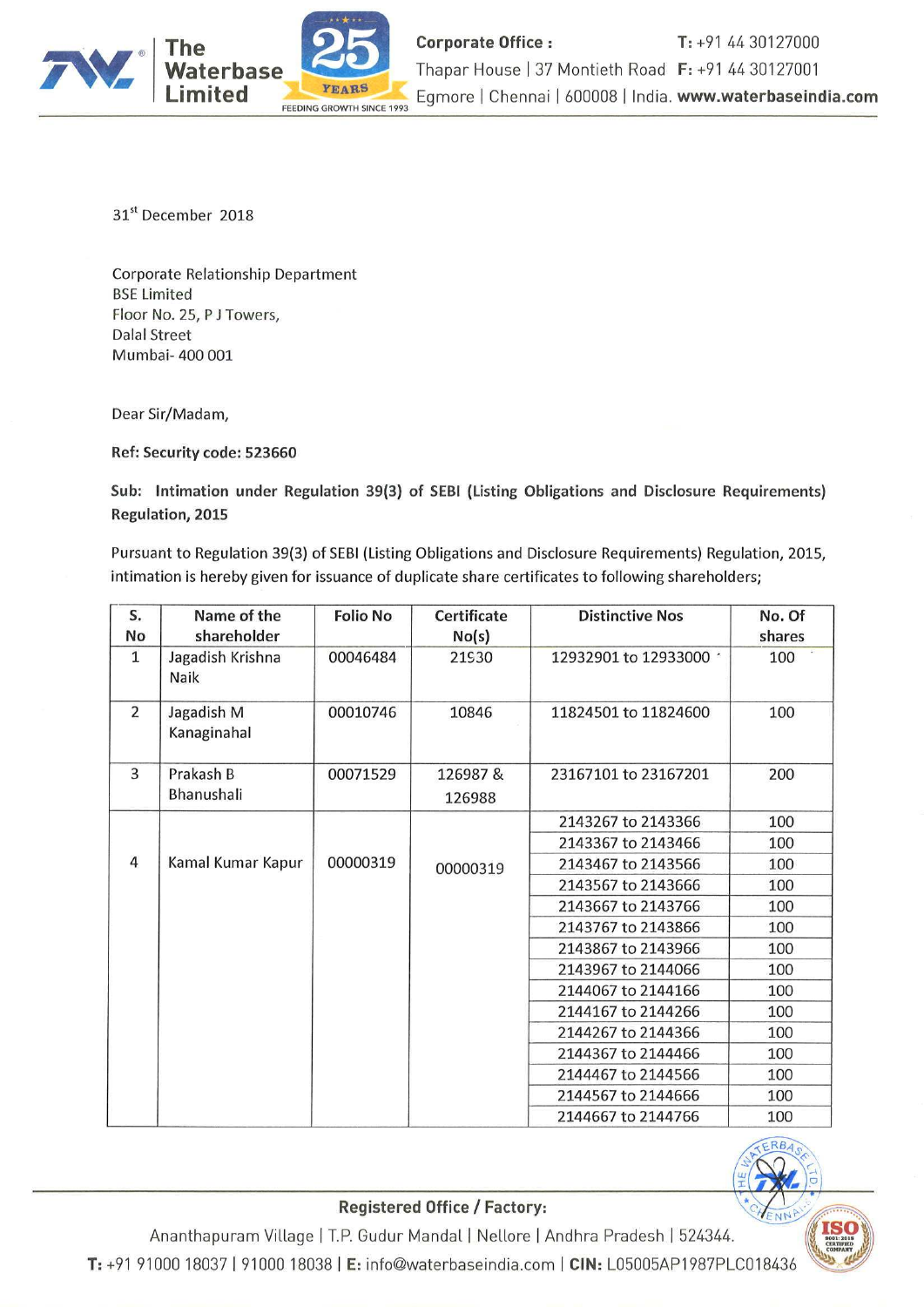

31" December 2018

Corporate Relationship Department BSE Limited Floor No. 25, <sup>P</sup> <sup>J</sup> Towers, Dalai Street Mumbai» 400 001

Dear Sir/Madam,

Ref: Security code: 523660

Sub: lntimation under Regulation 39(3) of SEBI (Listing Obligations and Disclosure Requirements) Regulation, 2015

Pursuant to Regulation 39(3) of SEBI (Listing Obligations and Disclosure Requirements) Regulation, 2015, intimation is hereby given for issuance of duplicate share certificates to following shareholders;

| S.<br>No       | Name of the<br>shareholder | <b>Folio No</b> | <b>Certificate</b><br>No(s) | <b>Distinctive Nos</b> | No. Of<br>shares |
|----------------|----------------------------|-----------------|-----------------------------|------------------------|------------------|
| 1              | Jagadish Krishna<br>Naik   | 00046484        | 21930                       | 12932901 to 12933000 · | 100              |
| $\overline{2}$ | Jagadish M<br>Kanaginahal  | 00010746        | 10846                       | 11824501 to 11824600   | 100              |
| 3              | Prakash B                  | 00071529        | 126987&                     | 23167101 to 23167201   | 200              |
|                | Bhanushali                 |                 | 126988                      |                        |                  |
|                |                            |                 |                             | 2143267 to 2143366     | 100              |
|                |                            |                 |                             | 2143367 to 2143466     | 100              |
| 4              | Kamal Kumar Kapur          | 00000319        | 00000319                    | 2143467 to 2143566     | 100              |
|                |                            |                 |                             | 2143567 to 2143666     | 100              |
|                |                            |                 |                             | 2143667 to 2143766     | 100              |
|                |                            |                 |                             | 2143767 to 2143866     | 100              |
|                |                            |                 |                             | 2143867 to 2143966     | 100              |
|                |                            |                 |                             | 2143967 to 2144066     | 100              |
|                |                            |                 |                             | 2144067 to 2144166     | 100              |
|                |                            |                 |                             | 2144167 to 2144266     | 100              |
|                |                            |                 |                             | 2144267 to 2144366     | 100              |
|                |                            |                 |                             | 2144367 to 2144466     | 100              |
|                |                            |                 |                             | 2144467 to 2144566     | 100              |
|                |                            |                 |                             | 2144567 to 2144666     | 100              |
|                |                            |                 |                             | 2144667 to 2144766     | 100              |



Registered Office / Factory:

Ananthapuram Village <sup>1</sup> T.P. Gudur Mandal <sup>|</sup> Nellore <sup>|</sup> Andhra Pradesh <sup>|</sup> 524344, T: +91 91000 18037 | 91000 18038 | E: info@waterbaseindia.com | CIN: L05005AP1987PLC018436